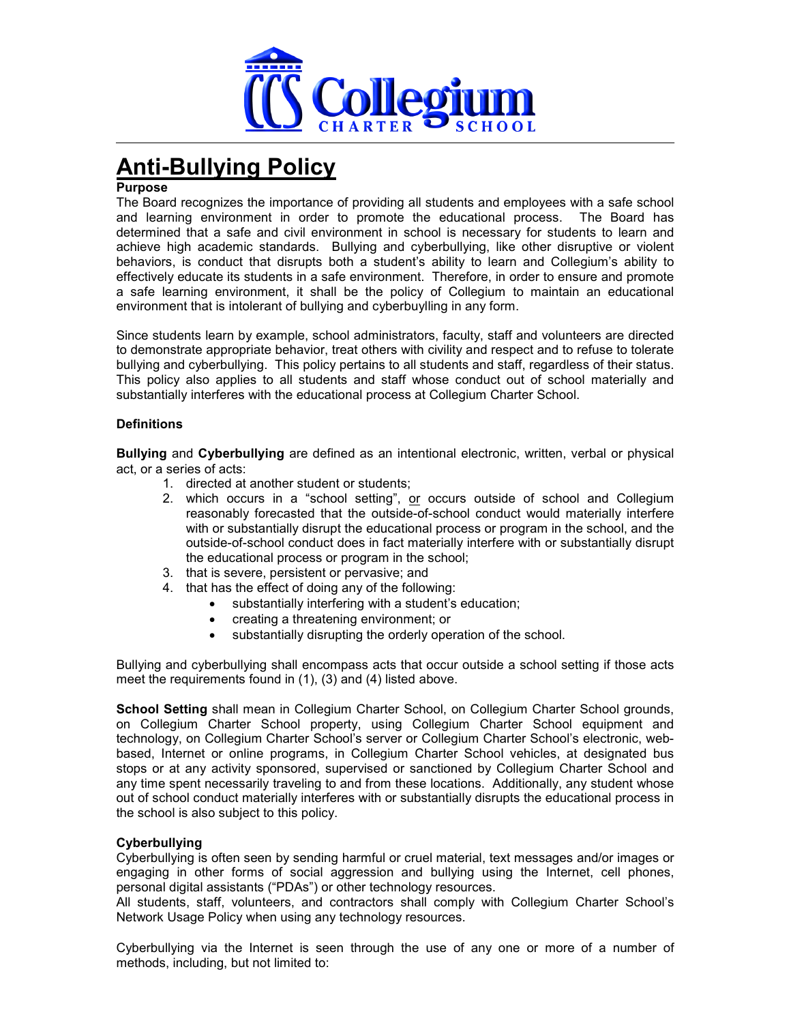

# **Anti-Bullying Policy**

# **Purpose**

The Board recognizes the importance of providing all students and employees with a safe school and learning environment in order to promote the educational process. The Board has determined that a safe and civil environment in school is necessary for students to learn and achieve high academic standards. Bullying and cyberbullying, like other disruptive or violent behaviors, is conduct that disrupts both a student's ability to learn and Collegium's ability to effectively educate its students in a safe environment. Therefore, in order to ensure and promote a safe learning environment, it shall be the policy of Collegium to maintain an educational environment that is intolerant of bullying and cyberbuylling in any form.

Since students learn by example, school administrators, faculty, staff and volunteers are directed to demonstrate appropriate behavior, treat others with civility and respect and to refuse to tolerate bullying and cyberbullying. This policy pertains to all students and staff, regardless of their status. This policy also applies to all students and staff whose conduct out of school materially and substantially interferes with the educational process at Collegium Charter School.

# **Definitions**

**Bullying** and **Cyberbullying** are defined as an intentional electronic, written, verbal or physical act, or a series of acts:

- 1. directed at another student or students;
- 2. which occurs in a "school setting", or occurs outside of school and Collegium reasonably forecasted that the outside-of-school conduct would materially interfere with or substantially disrupt the educational process or program in the school, and the outside-of-school conduct does in fact materially interfere with or substantially disrupt the educational process or program in the school;
- 3. that is severe, persistent or pervasive; and
- 4. that has the effect of doing any of the following:
	- substantially interfering with a student's education;
	- creating a threatening environment; or
	- substantially disrupting the orderly operation of the school.

Bullying and cyberbullying shall encompass acts that occur outside a school setting if those acts meet the requirements found in (1), (3) and (4) listed above.

**School Setting** shall mean in Collegium Charter School, on Collegium Charter School grounds, on Collegium Charter School property, using Collegium Charter School equipment and technology, on Collegium Charter School's server or Collegium Charter School's electronic, webbased, Internet or online programs, in Collegium Charter School vehicles, at designated bus stops or at any activity sponsored, supervised or sanctioned by Collegium Charter School and any time spent necessarily traveling to and from these locations. Additionally, any student whose out of school conduct materially interferes with or substantially disrupts the educational process in the school is also subject to this policy.

# **Cyberbullying**

Cyberbullying is often seen by sending harmful or cruel material, text messages and/or images or engaging in other forms of social aggression and bullying using the Internet, cell phones, personal digital assistants ("PDAs") or other technology resources.

All students, staff, volunteers, and contractors shall comply with Collegium Charter School's Network Usage Policy when using any technology resources.

Cyberbullying via the Internet is seen through the use of any one or more of a number of methods, including, but not limited to: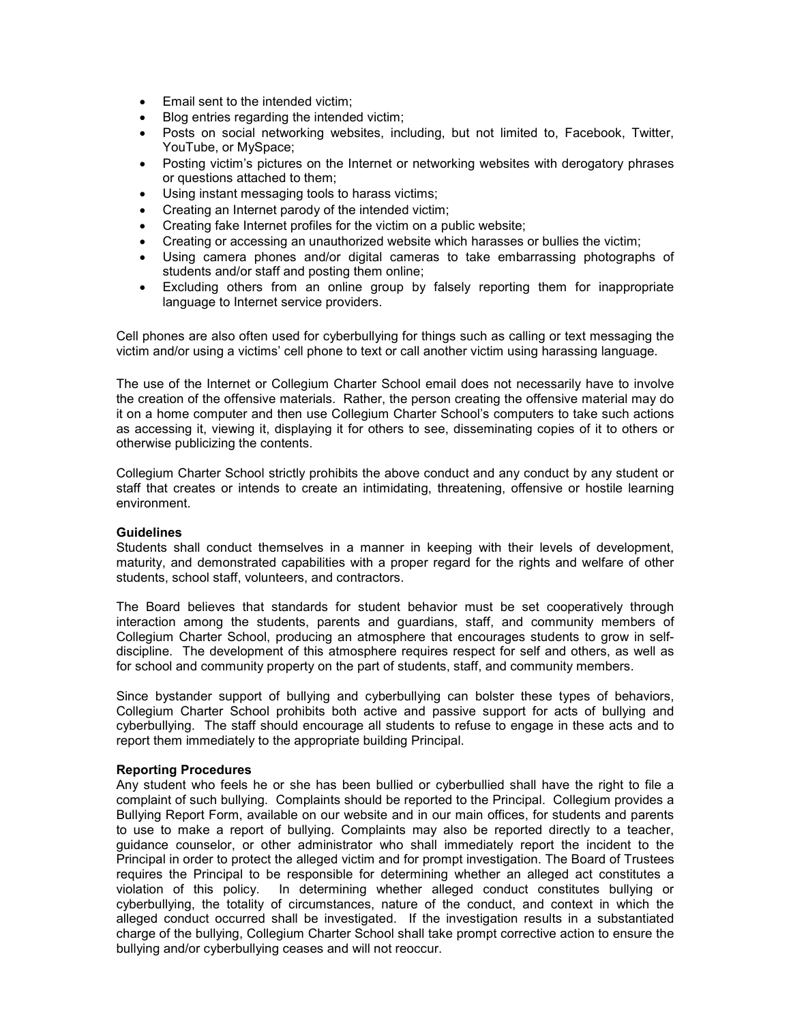- Email sent to the intended victim;
- Blog entries regarding the intended victim;
- Posts on social networking websites, including, but not limited to, Facebook, Twitter, YouTube, or MySpace;
- Posting victim's pictures on the Internet or networking websites with derogatory phrases or questions attached to them;
- Using instant messaging tools to harass victims;
- Creating an Internet parody of the intended victim;
- Creating fake Internet profiles for the victim on a public website;
- Creating or accessing an unauthorized website which harasses or bullies the victim;
- Using camera phones and/or digital cameras to take embarrassing photographs of students and/or staff and posting them online;
- Excluding others from an online group by falsely reporting them for inappropriate language to Internet service providers.

Cell phones are also often used for cyberbullying for things such as calling or text messaging the victim and/or using a victims' cell phone to text or call another victim using harassing language.

The use of the Internet or Collegium Charter School email does not necessarily have to involve the creation of the offensive materials. Rather, the person creating the offensive material may do it on a home computer and then use Collegium Charter School's computers to take such actions as accessing it, viewing it, displaying it for others to see, disseminating copies of it to others or otherwise publicizing the contents.

Collegium Charter School strictly prohibits the above conduct and any conduct by any student or staff that creates or intends to create an intimidating, threatening, offensive or hostile learning environment.

## **Guidelines**

Students shall conduct themselves in a manner in keeping with their levels of development, maturity, and demonstrated capabilities with a proper regard for the rights and welfare of other students, school staff, volunteers, and contractors.

The Board believes that standards for student behavior must be set cooperatively through interaction among the students, parents and guardians, staff, and community members of Collegium Charter School, producing an atmosphere that encourages students to grow in selfdiscipline. The development of this atmosphere requires respect for self and others, as well as for school and community property on the part of students, staff, and community members.

Since bystander support of bullying and cyberbullying can bolster these types of behaviors, Collegium Charter School prohibits both active and passive support for acts of bullying and cyberbullying. The staff should encourage all students to refuse to engage in these acts and to report them immediately to the appropriate building Principal.

#### **Reporting Procedures**

Any student who feels he or she has been bullied or cyberbullied shall have the right to file a complaint of such bullying. Complaints should be reported to the Principal. Collegium provides a Bullying Report Form, available on our website and in our main offices, for students and parents to use to make a report of bullying. Complaints may also be reported directly to a teacher, guidance counselor, or other administrator who shall immediately report the incident to the Principal in order to protect the alleged victim and for prompt investigation. The Board of Trustees requires the Principal to be responsible for determining whether an alleged act constitutes a violation of this policy. In determining whether alleged conduct constitutes bullying or In determining whether alleged conduct constitutes bullying or cyberbullying, the totality of circumstances, nature of the conduct, and context in which the alleged conduct occurred shall be investigated. If the investigation results in a substantiated charge of the bullying, Collegium Charter School shall take prompt corrective action to ensure the bullying and/or cyberbullying ceases and will not reoccur.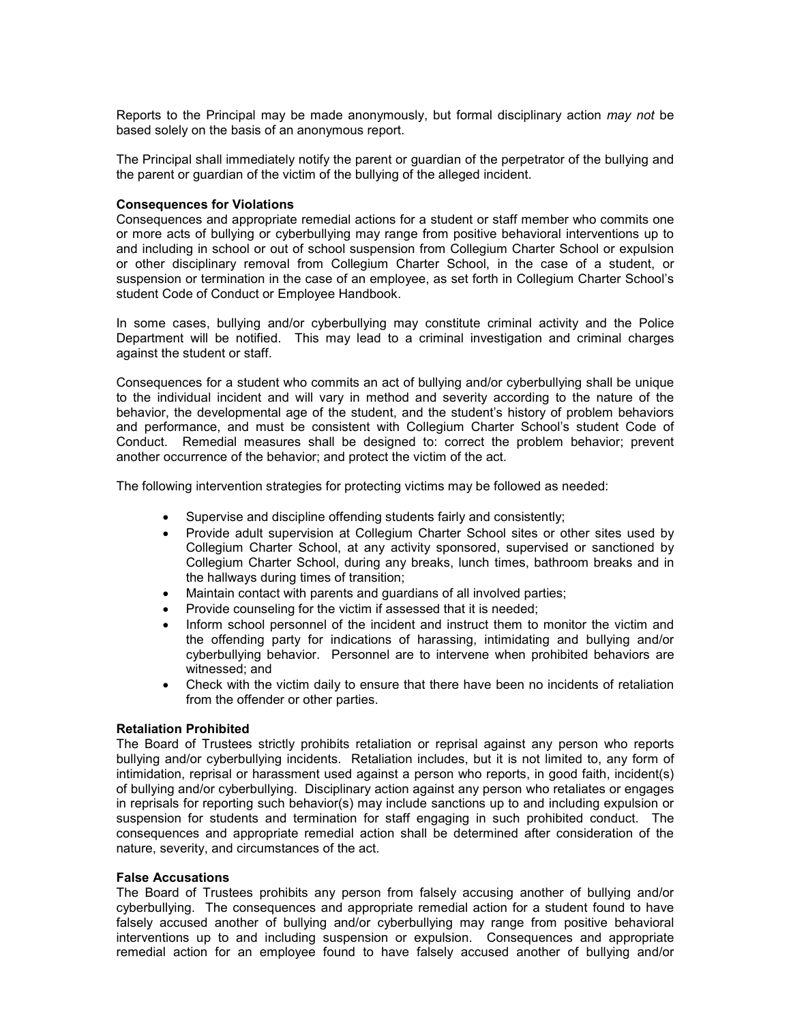Reports to the Principal may be made anonymously, but formal disciplinary action *may not* be based solely on the basis of an anonymous report.

The Principal shall immediately notify the parent or guardian of the perpetrator of the bullying and the parent or guardian of the victim of the bullying of the alleged incident.

### **Consequences for Violations**

Consequences and appropriate remedial actions for a student or staff member who commits one or more acts of bullying or cyberbullying may range from positive behavioral interventions up to and including in school or out of school suspension from Collegium Charter School or expulsion or other disciplinary removal from Collegium Charter School, in the case of a student, or suspension or termination in the case of an employee, as set forth in Collegium Charter School's student Code of Conduct or Employee Handbook.

In some cases, bullying and/or cyberbullying may constitute criminal activity and the Police Department will be notified. This may lead to a criminal investigation and criminal charges against the student or staff.

Consequences for a student who commits an act of bullying and/or cyberbullying shall be unique to the individual incident and will vary in method and severity according to the nature of the behavior, the developmental age of the student, and the student's history of problem behaviors and performance, and must be consistent with Collegium Charter School's student Code of Conduct. Remedial measures shall be designed to: correct the problem behavior; prevent another occurrence of the behavior; and protect the victim of the act.

The following intervention strategies for protecting victims may be followed as needed:

- Supervise and discipline offending students fairly and consistently;
- Provide adult supervision at Collegium Charter School sites or other sites used by Collegium Charter School, at any activity sponsored, supervised or sanctioned by Collegium Charter School, during any breaks, lunch times, bathroom breaks and in the hallways during times of transition;
- Maintain contact with parents and guardians of all involved parties;
- Provide counseling for the victim if assessed that it is needed;
- Inform school personnel of the incident and instruct them to monitor the victim and the offending party for indications of harassing, intimidating and bullying and/or cyberbullying behavior. Personnel are to intervene when prohibited behaviors are witnessed; and
- Check with the victim daily to ensure that there have been no incidents of retaliation from the offender or other parties.

#### **Retaliation Prohibited**

The Board of Trustees strictly prohibits retaliation or reprisal against any person who reports bullying and/or cyberbullying incidents. Retaliation includes, but it is not limited to, any form of intimidation, reprisal or harassment used against a person who reports, in good faith, incident(s) of bullying and/or cyberbullying. Disciplinary action against any person who retaliates or engages in reprisals for reporting such behavior(s) may include sanctions up to and including expulsion or suspension for students and termination for staff engaging in such prohibited conduct. The consequences and appropriate remedial action shall be determined after consideration of the nature, severity, and circumstances of the act.

#### **False Accusations**

The Board of Trustees prohibits any person from falsely accusing another of bullying and/or cyberbullying. The consequences and appropriate remedial action for a student found to have falsely accused another of bullying and/or cyberbullying may range from positive behavioral interventions up to and including suspension or expulsion. Consequences and appropriate remedial action for an employee found to have falsely accused another of bullying and/or